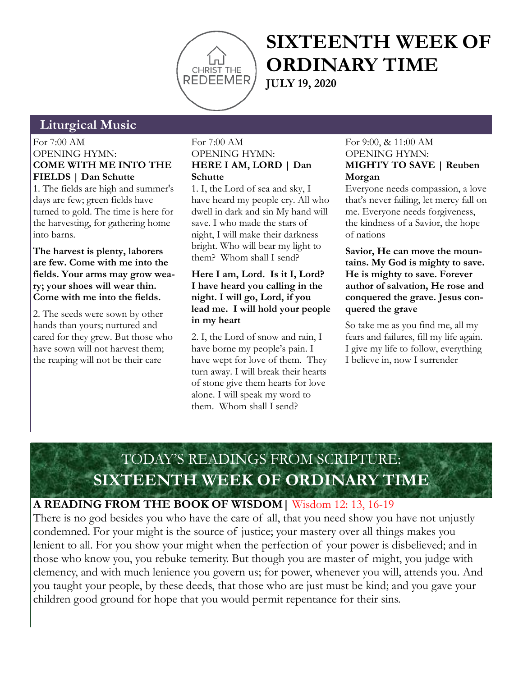

# **SIXTEENTH WEEK OF ORDINARY TIME**

**JULY 19, 2020** 

## **Liturgical Music**

### For 7:00 AM OPENING HYMN: **COME WITH ME INTO THE FIELDS | Dan Schutte**

1. The fields are high and summer's days are few; green fields have turned to gold. The time is here for the harvesting, for gathering home into barns.

**The harvest is plenty, laborers are few. Come with me into the fields. Your arms may grow weary; your shoes will wear thin. Come with me into the fields.**

2. The seeds were sown by other hands than yours; nurtured and cared for they grew. But those who have sown will not harvest them; the reaping will not be their care

### For 7:00 AM OPENING HYMN: **HERE I AM, LORD | Dan Schutte**

1. I, the Lord of sea and sky, I have heard my people cry. All who dwell in dark and sin My hand will save. I who made the stars of night, I will make their darkness bright. Who will bear my light to them? Whom shall I send?

### **Here I am, Lord. Is it I, Lord? I have heard you calling in the night. I will go, Lord, if you lead me. I will hold your people in my heart**

2. I, the Lord of snow and rain, I have borne my people's pain. I have wept for love of them. They turn away. I will break their hearts of stone give them hearts for love alone. I will speak my word to them. Whom shall I send?

### For 9:00, & 11:00 AM OPENING HYMN: **MIGHTY TO SAVE | Reuben Morgan**

Everyone needs compassion, a love that's never failing, let mercy fall on me. Everyone needs forgiveness, the kindness of a Savior, the hope of nations

## **Savior, He can move the mountains. My God is mighty to save. He is mighty to save. Forever author of salvation, He rose and conquered the grave. Jesus conquered the grave**

So take me as you find me, all my fears and failures, fill my life again. I give my life to follow, everything I believe in, now I surrender

# TODAY'S READINGS FROM SCRIPTURE: **SIXTEENTH WEEK OF ORDINARY TIME**

# **A READING FROM THE BOOK OF WISDOM|** Wisdom 12: 13, 16-19

There is no god besides you who have the care of all, that you need show you have not unjustly condemned. For your might is the source of justice; your mastery over all things makes you lenient to all. For you show your might when the perfection of your power is disbelieved; and in those who know you, you rebuke temerity. But though you are master of might, you judge with clemency, and with much lenience you govern us; for power, whenever you will, attends you. And you taught your people, by these deeds, that those who are just must be kind; and you gave your children good ground for hope that you would permit repentance for their sins.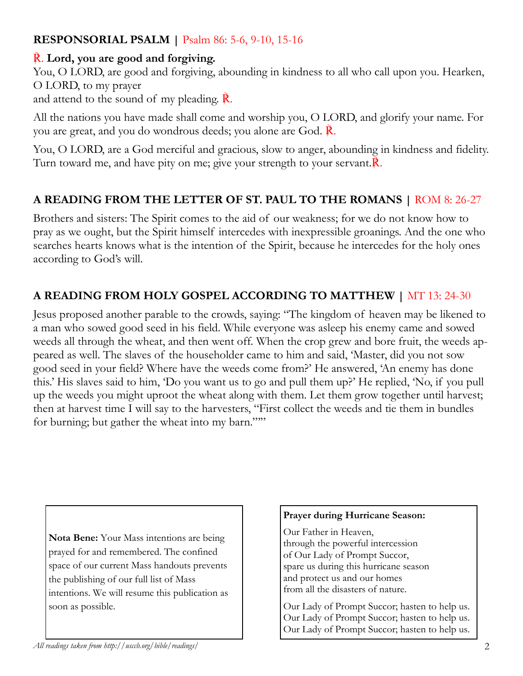# **RESPONSORIAL PSALM |** Psalm 86: 5-6, 9-10, 15-16

## ℟. **Lord, you are good and forgiving.**

You, O LORD, are good and forgiving, abounding in kindness to all who call upon you. Hearken, O LORD, to my prayer and attend to the sound of my pleading.  $\mathbb{R}$ .

All the nations you have made shall come and worship you, O LORD, and glorify your name. For you are great, and you do wondrous deeds; you alone are God. ℟.

You, O LORD, are a God merciful and gracious, slow to anger, abounding in kindness and fidelity. Turn toward me, and have pity on me; give your strength to your servant.**R**.

# **A READING FROM THE LETTER OF ST. PAUL TO THE ROMANS |** ROM 8: 26-27

Brothers and sisters: The Spirit comes to the aid of our weakness; for we do not know how to pray as we ought, but the Spirit himself intercedes with inexpressible groanings. And the one who searches hearts knows what is the intention of the Spirit, because he intercedes for the holy ones according to God's will.

## **A READING FROM HOLY GOSPEL ACCORDING TO MATTHEW |** MT 13: 24-30

Jesus proposed another parable to the crowds, saying: "The kingdom of heaven may be likened to a man who sowed good seed in his field. While everyone was asleep his enemy came and sowed weeds all through the wheat, and then went off. When the crop grew and bore fruit, the weeds appeared as well. The slaves of the householder came to him and said, 'Master, did you not sow good seed in your field? Where have the weeds come from?' He answered, 'An enemy has done this.' His slaves said to him, 'Do you want us to go and pull them up?' He replied, 'No, if you pull up the weeds you might uproot the wheat along with them. Let them grow together until harvest; then at harvest time I will say to the harvesters, "First collect the weeds and tie them in bundles for burning; but gather the wheat into my barn."'"

**Nota Bene:** Your Mass intentions are being prayed for and remembered. The confined space of our current Mass handouts prevents the publishing of our full list of Mass intentions. We will resume this publication as soon as possible.

## **Prayer during Hurricane Season:**

Our Father in Heaven, through the powerful intercession of Our Lady of Prompt Succor, spare us during this hurricane season and protect us and our homes from all the disasters of nature.

Our Lady of Prompt Succor; hasten to help us. Our Lady of Prompt Succor; hasten to help us. Our Lady of Prompt Succor; hasten to help us.

*All readings taken from http://usccb.org/bible/readings/* 2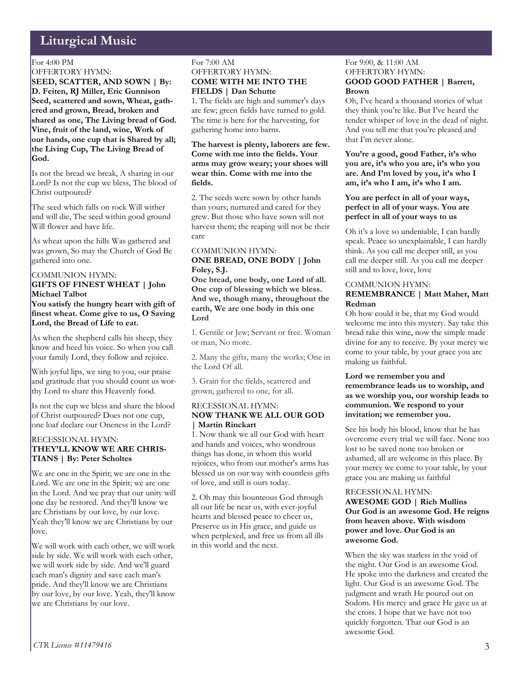# **Liturgical Music**

## For 4:00 PM

OFFERTORY HYMN: **SEED, SCATTER, AND SOWN | By: D. Feiten, RJ Miller, Eric Gunnison Seed, scattered and sown, Wheat, gathered and grown, Bread, broken and shared as one, The Living bread of God. Vine, fruit of the land, wine, Work of our hands, one cup that is Shared by all; the Living Cup, The Living Bread of God.** 

Is not the bread we break, A sharing in our Lord? Is not the cup we bless, The blood of Christ outpoured?

The seed which falls on rock Will wither and will die, The seed within good ground Will flower and have life.

As wheat upon the hills Was gathered and was grown, So may the Church of God Be gathered into one.

#### COMMUNION HYMN: **GIFTS OF FINEST WHEAT | John Michael Talbot**

**You satisfy the hungry heart with gift of finest wheat. Come give to us, O Saving Lord, the Bread of Life to eat.** 

As when the shepherd calls his sheep, they know and heed his voice. So when you call your family Lord, they follow and rejoice.

With joyful lips, we sing to you, our praise and gratitude that you should count us worthy Lord to share this Heavenly food.

Is not the cup we bless and share the blood of Christ outpoured? Does not one cup, one loaf declare our Oneness in the Lord?

#### RECESSIONAL HYMN: **THEY'LL KNOW WE ARE CHRIS-TIANS | By: Peter Scholtes**

We are one in the Spirit; we are one in the Lord. We are one in the Spirit; we are one in the Lord. And we pray that our unity will one day be restored. And they'll know we are Christians by our love, by our love. Yeah they'll know we are Christians by our love.

We will work with each other, we will work side by side. We will work with each other, we will work side by side. And we'll guard each man's dignity and save each man's pride. And they'll know we are Christians by our love, by our love. Yeah, they'll know we are Christians by our love.

#### For 7:00 AM OFFERTORY HYMN: **COME WITH ME INTO THE FIELDS | Dan Schutte**

1. The fields are high and summer's days are few; green fields have turned to gold. The time is here for the harvesting, for gathering home into barns.

**The harvest is plenty, laborers are few. Come with me into the fields. Your arms may grow weary; your shoes will wear thin. Come with me into the fields.**

2. The seeds were sown by other hands than yours; nurtured and cared for they grew. But those who have sown will not harvest them; the reaping will not be their care

#### COMMUNION HYMN:

#### **ONE BREAD, ONE BODY | John Foley, S.J.**

**One bread, one body, one Lord of all. One cup of blessing which we bless. And we, though many, throughout the earth, We are one body in this one Lord**

1. Gentile or Jew; Servant or free. Woman or man, No more.

2. Many the gifts, many the works; One in the Lord Of all.

3. Grain for the fields, scattered and grown, gathered to one, for all.

#### RECESSIONAL HYMN: **NOW THANK WE ALL OUR GOD | Martin Rinckart**

1. Now thank we all our God with heart and hands and voices, who wondrous things has done, in whom this world rejoices, who from our mother's arms has blessed us on our way with countless gifts of love, and still is ours today.

2. Oh may this bounteous God through all our life be near us, with ever-joyful hearts and blessed peace to cheer us, Preserve us in His grace, and guide us when perplexed, and free us from all ills in this world and the next.

#### For 9:00, & 11:00 AM OFFERTORY HYMN: **GOOD GOOD FATHER | Barrett, Brown**

Oh, I've heard a thousand stories of what they think you're like. But I've heard the tender whisper of love in the dead of night. And you tell me that you're pleased and that I'm never alone.

**You're a good, good Father, it's who you are, it's who you are, it's who you are. And I'm loved by you, it's who I am, it's who I am, it's who I am.** 

#### **You are perfect in all of your ways, perfect in all of your ways. You are perfect in all of your ways to us**

Oh it's a love so undeniable, I can hardly speak. Peace so unexplainable, I can hardly think. As you call me deeper still, as you call me deeper still. As you call me deeper still and to love, love, love

#### COMMUNION HYMN:

#### **REMEMBRANCE | Matt Maher, Matt Redman**

Oh how could it be, that my God would welcome me into this mystery. Say take this bread take this wine, now the simple made divine for any to receive. By your mercy we come to your table, by your grace you are making us faithful.

#### **Lord we remember you and remembrance leads us to worship, and as we worship you, our worship leads to communion. We respond to your invitation; we remember you.**

See his body his blood, know that he has overcome every trial we will face. None too lost to be saved none too broken or ashamed, all are welcome in this place. By your mercy we come to your table, by your grace you are making us faithful

#### RECESSIONAL HYMN:

**AWESOME GOD | Rich Mullins Our God is an awesome God. He reigns from heaven above. With wisdom power and love. Our God is an awesome God.**

When the sky was starless in the void of the night. Our God is an awesome God. He spoke into the darkness and created the light. Our God is an awesome God. The judgment and wrath He poured out on Sodom. His mercy and grace He gave us at the cross. I hope that we have not too quickly forgotten. That our God is an awesome God.